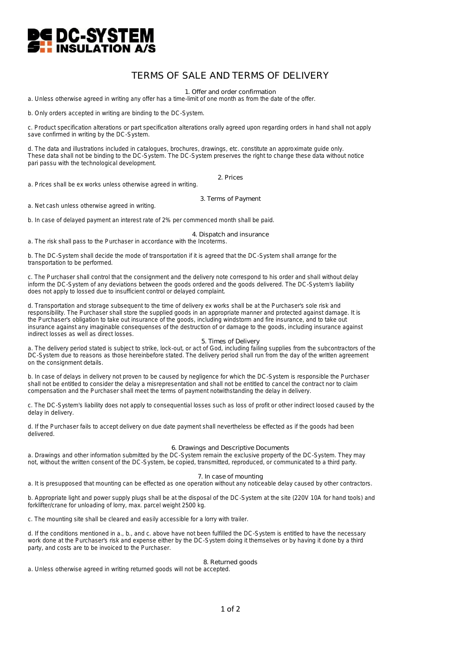

# TERMS OF SALE AND TERMS OF DELIVERY

1. Offer and order confirmation

a. Unless otherwise agreed in writing any offer has a time-limit of one month as from the date of the offer.

b. Only orders accepted in writing are binding to the DC-System.

c. Product specification alterations or part specification alterations orally agreed upon regarding orders in hand shall not apply save confirmed in writing by the DC-System.

d. The data and illustrations included in catalogues, brochures, drawings, etc. constitute an approximate guide only. These data shall not be binding to the DC-System. The DC-System preserves the right to change these data without notice pari passu with the technological development.

2. Prices

a. Prices shall be ex works unless otherwise agreed in writing.

3. Terms of Payment

a. Net cash unless otherwise agreed in writing.

b. In case of delayed payment an interest rate of 2% per commenced month shall be paid.

4. Dispatch and insurance

a. The risk shall pass to the Purchaser in accordance with the Incoterms.

b. The DC-System shall decide the mode of transportation if it is agreed that the DC-System shall arrange for the transportation to be performed.

c. The Purchaser shall control that the consignment and the delivery note correspond to his order and shall without delay inform the DC-System of any deviations between the goods ordered and the goods delivered. The DC-System's liability does not apply to lossed due to insufficient control or delayed complaint.

d. Transportation and storage subsequent to the time of delivery ex works shall be at the Purchaser's sole risk and responsibility. The Purchaser shall store the supplied goods in an appropriate manner and protected against damage. It is the Purchaser's obligation to take out insurance of the goods, including windstorm and fire insurance, and to take out insurance against any imaginable consequenses of the destruction of or damage to the goods, including insurance against indirect losses as well as direct losses.

## 5. Times of Delivery

a. The delivery period stated is subject to strike, lock-out, or act of God, including failing supplies from the subcontractors of the DC-System due to reasons as those hereinbefore stated. The delivery period shall run from the day of the written agreement on the consignment details.

b. In case of delays in delivery not proven to be caused by negligence for which the DC-System is responsible the Purchaser shall not be entitled to consider the delay a misrepresentation and shall not be entitled to cancel the contract nor to claim compensation and the Purchaser shall meet the terms of payment notwithstanding the delay in delivery.

c. The DC-System's liability does not apply to consequential losses such as loss of profit or other indirect loosed caused by the delay in delivery.

d. If the Purchaser fails to accept delivery on due date payment shall nevertheless be effected as if the goods had been delivered.

## 6. Drawings and Descriptive Documents

a. Drawings and other information submitted by the DC-System remain the exclusive property of the DC-System. They may not, without the written consent of the DC-System, be copied, transmitted, reproduced, or communicated to a third party.

### 7. In case of mounting

a. It is presupposed that mounting can be effected as one operation without any noticeable delay caused by other contractors.

b. Appropriate light and power supply plugs shall be at the disposal of the DC-System at the site (220V 10A for hand tools) and forklifter/crane for unloading of lorry, max. parcel weight 2500 kg.

c. The mounting site shall be cleared and easily accessible for a lorry with trailer.

d. If the conditions mentioned in a., b., and c. above have not been fulfilled the DC-System is entitled to have the necessary work done at the Purchaser's risk and expense either by the DC-System doing it themselves or by having it done by a third party, and costs are to be invoiced to the Purchaser.

### 8. Returned goods

a. Unless otherwise agreed in writing returned goods will not be accepted.